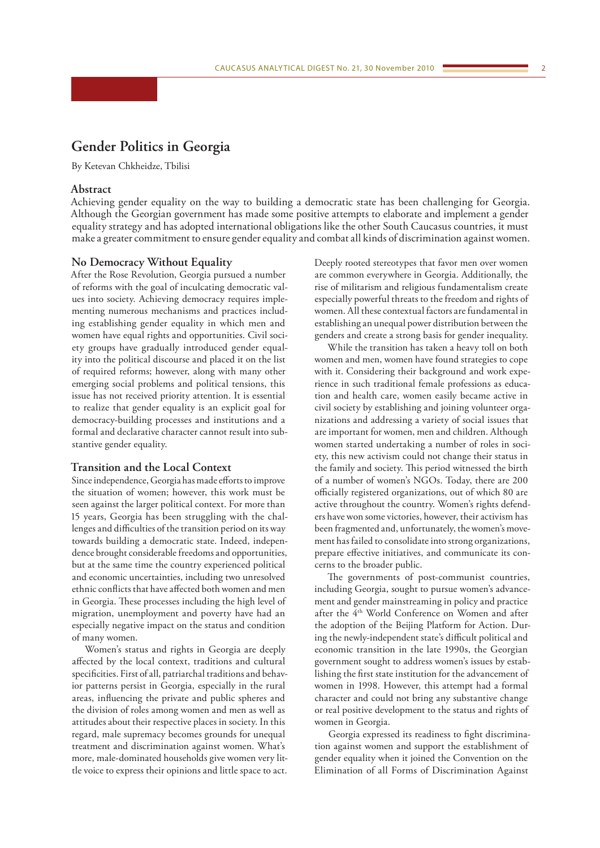# **Gender Politics in Georgia**

By Ketevan Chkheidze, Tbilisi

## **Abstract**

Achieving gender equality on the way to building a democratic state has been challenging for Georgia. Although the Georgian government has made some positive attempts to elaborate and implement a gender equality strategy and has adopted international obligations like the other South Caucasus countries, it must make a greater commitment to ensure gender equality and combat all kinds of discrimination against women.

### **No Democracy Without Equality**

After the Rose Revolution, Georgia pursued a number of reforms with the goal of inculcating democratic values into society. Achieving democracy requires implementing numerous mechanisms and practices including establishing gender equality in which men and women have equal rights and opportunities. Civil society groups have gradually introduced gender equality into the political discourse and placed it on the list of required reforms; however, along with many other emerging social problems and political tensions, this issue has not received priority attention. It is essential to realize that gender equality is an explicit goal for democracy-building processes and institutions and a formal and declarative character cannot result into substantive gender equality.

### **Transition and the Local Context**

Since independence, Georgia has made efforts to improve the situation of women; however, this work must be seen against the larger political context. For more than 15 years, Georgia has been struggling with the challenges and difficulties of the transition period on its way towards building a democratic state. Indeed, independence brought considerable freedoms and opportunities, but at the same time the country experienced political and economic uncertainties, including two unresolved ethnic conflicts that have affected both women and men in Georgia. These processes including the high level of migration, unemployment and poverty have had an especially negative impact on the status and condition of many women.

Women's status and rights in Georgia are deeply affected by the local context, traditions and cultural specificities. First of all, patriarchal traditions and behavior patterns persist in Georgia, especially in the rural areas, influencing the private and public spheres and the division of roles among women and men as well as attitudes about their respective places in society. In this regard, male supremacy becomes grounds for unequal treatment and discrimination against women. What's more, male-dominated households give women very little voice to express their opinions and little space to act.

Deeply rooted stereotypes that favor men over women are common everywhere in Georgia. Additionally, the rise of militarism and religious fundamentalism create especially powerful threats to the freedom and rights of women. All these contextual factors are fundamental in establishing an unequal power distribution between the genders and create a strong basis for gender inequality.

While the transition has taken a heavy toll on both women and men, women have found strategies to cope with it. Considering their background and work experience in such traditional female professions as education and health care, women easily became active in civil society by establishing and joining volunteer organizations and addressing a variety of social issues that are important for women, men and children. Although women started undertaking a number of roles in society, this new activism could not change their status in the family and society. This period witnessed the birth of a number of women's NGOs. Today, there are 200 officially registered organizations, out of which 80 are active throughout the country. Women's rights defenders have won some victories, however, their activism has been fragmented and, unfortunately, the women's movement has failed to consolidate into strong organizations, prepare effective initiatives, and communicate its concerns to the broader public.

The governments of post-communist countries, including Georgia, sought to pursue women's advancement and gender mainstreaming in policy and practice after the 4<sup>th</sup> World Conference on Women and after the adoption of the Beijing Platform for Action. During the newly-independent state's difficult political and economic transition in the late 1990s, the Georgian government sought to address women's issues by establishing the first state institution for the advancement of women in 1998. However, this attempt had a formal character and could not bring any substantive change or real positive development to the status and rights of women in Georgia.

Georgia expressed its readiness to fight discrimination against women and support the establishment of gender equality when it joined the Convention on the Elimination of all Forms of Discrimination Against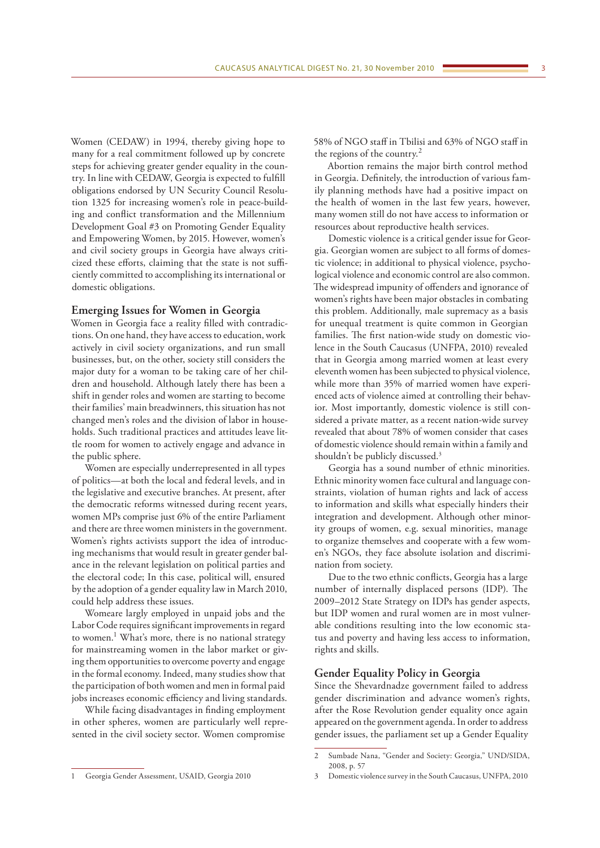Women (CEDAW) in 1994, thereby giving hope to many for a real commitment followed up by concrete steps for achieving greater gender equality in the country. In line with CEDAW, Georgia is expected to fulfill obligations endorsed by UN Security Council Resolution 1325 for increasing women's role in peace-building and conflict transformation and the Millennium Development Goal #3 on Promoting Gender Equality and Empowering Women, by 2015. However, women's and civil society groups in Georgia have always criticized these efforts, claiming that the state is not sufficiently committed to accomplishing its international or domestic obligations.

## **Emerging Issues for Women in Georgia**

Women in Georgia face a reality filled with contradictions. On one hand, they have access to education, work actively in civil society organizations, and run small businesses, but, on the other, society still considers the major duty for a woman to be taking care of her children and household. Although lately there has been a shift in gender roles and women are starting to become their families' main breadwinners, this situation has not changed men's roles and the division of labor in households. Such traditional practices and attitudes leave little room for women to actively engage and advance in the public sphere.

Women are especially underrepresented in all types of politics—at both the local and federal levels, and in the legislative and executive branches. At present, after the democratic reforms witnessed during recent years, women MPs comprise just 6% of the entire Parliament and there are three women ministers in the government. Women's rights activists support the idea of introducing mechanisms that would result in greater gender balance in the relevant legislation on political parties and the electoral code; In this case, political will, ensured by the adoption of a gender equality law in March 2010, could help address these issues.

Womeare largly employed in unpaid jobs and the Labor Code requires significant improvements in regard to women.<sup>1</sup> What's more, there is no national strategy for mainstreaming women in the labor market or giving them opportunities to overcome poverty and engage in the formal economy. Indeed, many studies show that the participation of both women and men in formal paid jobs increases economic efficiency and living standards.

While facing disadvantages in finding employment in other spheres, women are particularly well represented in the civil society sector. Women compromise

58% of NGO staff in Tbilisi and 63% of NGO staff in the regions of the country.<sup>2</sup>

Abortion remains the major birth control method in Georgia. Definitely, the introduction of various family planning methods have had a positive impact on the health of women in the last few years, however, many women still do not have access to information or resources about reproductive health services.

Domestic violence is a critical gender issue for Georgia. Georgian women are subject to all forms of domestic violence; in additional to physical violence, psychological violence and economic control are also common. The widespread impunity of offenders and ignorance of women's rights have been major obstacles in combating this problem. Additionally, male supremacy as a basis for unequal treatment is quite common in Georgian families. The first nation-wide study on domestic violence in the South Caucasus (UNFPA, 2010) revealed that in Georgia among married women at least every eleventh women has been subjected to physical violence, while more than 35% of married women have experienced acts of violence aimed at controlling their behavior. Most importantly, domestic violence is still considered a private matter, as a recent nation-wide survey revealed that about 78% of women consider that cases of domestic violence should remain within a family and shouldn't be publicly discussed.<sup>3</sup>

Georgia has a sound number of ethnic minorities. Ethnic minority women face cultural and language constraints, violation of human rights and lack of access to information and skills what especially hinders their integration and development. Although other minority groups of women, e.g. sexual minorities, manage to organize themselves and cooperate with a few women's NGOs, they face absolute isolation and discrimination from society.

Due to the two ethnic conflicts, Georgia has a large number of internally displaced persons (IDP). The 2009–2012 State Strategy on IDPs has gender aspects, but IDP women and rural women are in most vulnerable conditions resulting into the low economic status and poverty and having less access to information, rights and skills.

## **Gender Equality Policy in Georgia**

Since the Shevardnadze government failed to address gender discrimination and advance women's rights, after the Rose Revolution gender equality once again appeared on the government agenda. In order to address gender issues, the parliament set up a Gender Equality

<sup>2</sup> Sumbade Nana, "Gender and Society: Georgia," UND/SIDA, 2008, p. 57

<sup>1</sup> Georgia Gender Assessment, USAID, Georgia 2010

<sup>3</sup> Domestic violence survey in the South Caucasus, UNFPA, 2010